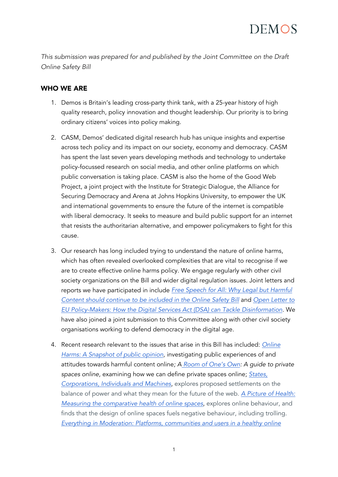*This submission was prepared for and published by the Joint Committee on the Draft Online Safety Bill*

#### WHO WE ARE

- 1. Demos is Britain's leading cross-party think tank, with a 25-year history of high quality research, policy innovation and thought leadership. Our priority is to bring ordinary citizens' voices into policy making.
- 2. CASM, Demos' dedicated digital research hub has unique insights and expertise across tech policy and its impact on our society, economy and democracy. CASM has spent the last seven years developing methods and technology to undertake policy-focussed research on social media, and other online platforms on which public conversation is taking place. CASM is also the home of the Good Web Project, a joint project with the Institute for Strategic Dialogue, the Alliance for Securing Democracy and Arena at Johns Hopkins University, to empower the UK and international governments to ensure the future of the internet is compatible with liberal democracy. It seeks to measure and build public support for an internet that resists the authoritarian alternative, and empower policymakers to fight for this cause.
- 3. Our research has long included trying to understand the nature of online harms, which has often revealed overlooked complexities that are vital to recognise if we are to create effective online harms policy. We engage regularly with other civil society organizations on the Bill and wider digital regulation issues. Joint letters and reports we have participated in include *[Free Speech for All: Why Legal but Harmful](https://www.hopenothate.org.uk/2021/09/03/new-report-free-speech-for-all-why-legal-but-harmful-content-should-continue-to-be-included-in-the-online-safety-bill/)  [Content should continue to be included in the Online Safety Bill](https://www.hopenothate.org.uk/2021/09/03/new-report-free-speech-for-all-why-legal-but-harmful-content-should-continue-to-be-included-in-the-online-safety-bill/)* and *[Open Letter to](https://www.disinfo.eu/advocacy/open-letter-to-eu-policy-makers-how-the-digital-services-act-dsa-can-tackle-disinformation/)  [EU Policy-Makers: How the Digital Services Act \(DSA\) can Tackle Disinformation.](https://www.disinfo.eu/advocacy/open-letter-to-eu-policy-makers-how-the-digital-services-act-dsa-can-tackle-disinformation/)* We have also joined a joint submission to this Committee along with other civil society organisations working to defend democracy in the digital age.
- 4. Recent research relevant to the issues that arise in this Bill has included: *[Online](https://demos.co.uk/blog/online-harms-a-snapshot-of-public-opinion/)*  **Harms: A Snapshot of public opinion**, investigating public experiences of and attitudes towards harmful content online*; A [Room of One's Own:](https://demos.co.uk/project/a-room-of-ones-own-a-guide-to-private-spaces-online/) A guide to private spaces online,* examining how we can define private spaces online; *[States,](https://demos.co.uk/project/states-corporations-individuals-and-machines/)  [Corporations, Individuals and Machines](https://demos.co.uk/project/states-corporations-individuals-and-machines/)*, explores proposed settlements on the balance of power and what they mean for the future of the web. *[A Picture of Health:](https://demos.co.uk/project/a-picture-of-health-measuring-the-comparative-health-of-online-spaces/)  [Measuring the comparative health of online spaces](https://demos.co.uk/project/a-picture-of-health-measuring-the-comparative-health-of-online-spaces/)*, explores online behaviour, and finds that the design of online spaces fuels negative behaviour, including trolling. *[Everything in Moderation: Platforms, communities and users in a healthy](https://demos.co.uk/project/everything-in-moderation-platforms-communities-and-users-in-a-healthy-online-environment/) online*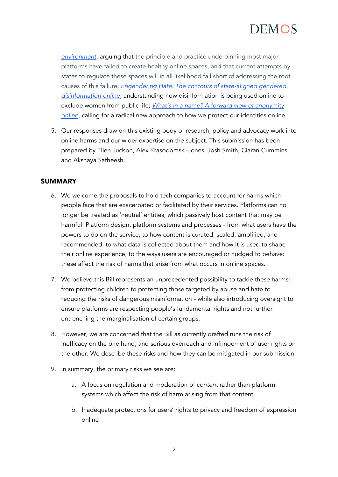*[environment](https://demos.co.uk/project/everything-in-moderation-platforms-communities-and-users-in-a-healthy-online-environment/)*, arguing that the principle and practice underpinning most major platforms have failed to create healthy online spaces, and that current attempts by states to regulate these spaces will in all likelihood fall short of addressing the root causes of this failure; *[Engendering Hate: The contours of state-aligned gendered](https://demos.co.uk/project/engendering-hate-the-contours-of-state-aligned-gendered-disinformation-online/)  [disinformation online,](https://demos.co.uk/project/engendering-hate-the-contours-of-state-aligned-gendered-disinformation-online/)* understanding how disinformation is being used online to exclude women from public life; *[What's in a name? A forward view of anonymity](https://demos.co.uk/project/whats-in-a-name/)  [online,](https://demos.co.uk/project/whats-in-a-name/)* calling for a radical new approach to how we protect our identities online.

5. Our responses draw on this existing body of research, policy and advocacy work into online harms and our wider expertise on the subject. This submission has been prepared by Ellen Judson, Alex Krasodomski-Jones, Josh Smith, Ciaran Cummins and Akshaya Satheesh.

#### SUMMARY

- 6. We welcome the proposals to hold tech companies to account for harms which people face that are exacerbated or facilitated by their services. Platforms can no longer be treated as 'neutral' entities, which passively host content that may be harmful. Platform design, platform systems and processes - from what users have the powers to do on the service, to how content is curated, scaled, amplified, and recommended, to what data is collected about them and how it is used to shape their online experience, to the ways users are encouraged or nudged to behave: these affect the risk of harms that arise from what occurs in online spaces.
- 7. We believe this Bill represents an unprecedented possibility to tackle these harms: from protecting children to protecting those targeted by abuse and hate to reducing the risks of dangerous misinformation - while also introducing oversight to ensure platforms are respecting people's fundamental rights and not further entrenching the marginalisation of certain groups.
- 8. However, we are concerned that the Bill as currently drafted runs the risk of inefficacy on the one hand, and serious overreach and infringement of user rights on the other. We describe these risks and how they can be mitigated in our submission.
- 9. In summary, the primary risks we see are:
	- a. A focus on regulation and moderation of *content* rather than platform systems which affect the risk of harm arising from that content
	- b. Inadequate protections for users' rights to privacy and freedom of expression online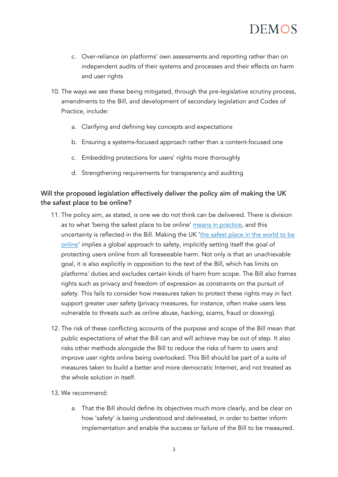

- c. Over-reliance on platforms' own assessments and reporting rather than on independent audits of their systems and processes and their effects on harm and user rights
- 10. The ways we see these being mitigated, through the pre-legislative scrutiny process, amendments to the Bill, and development of secondary legislation and Codes of Practice, include:
	- a. Clarifying and defining key concepts and expectations
	- b. Ensuring a systems-focused approach rather than a content-focused one
	- c. Embedding protections for users' rights more thoroughly
	- d. Strengthening requirements for transparency and auditing

#### Will the proposed legislation effectively deliver the policy aim of making the UK the safest place to be online?

- 11. The policy aim, as stated, is one we do not think can be delivered. There is division as to what 'being the safest place to be online' [means in practice,](https://demos.co.uk/wp-content/uploads/2021/09/A-Room-of-Ones-Own-Workshop.pdf) and this uncertainty is reflected in the Bill. Making the UK ['the safest place in the world to be](https://www.gov.uk/government/publications/draft-online-safety-bill)  [online'](https://www.gov.uk/government/publications/draft-online-safety-bill) implies a global approach to safety, implicitly setting itself the goal of protecting users online from all foreseeable harm. Not only is that an unachievable goal, it is also explicitly in opposition to the text of the Bill, which has limits on platforms' duties and excludes certain kinds of harm from scope. The Bill also frames rights such as privacy and freedom of expression as constraints on the pursuit of safety. This fails to consider how measures taken to protect these rights may in fact support greater user safety (privacy measures, for instance, often make users less vulnerable to threats such as online abuse, hacking, scams, fraud or doxxing).
- 12. The risk of these conflicting accounts of the purpose and scope of the Bill mean that public expectations of what the Bill can and will achieve may be out of step. It also risks other methods alongside the Bill to reduce the risks of harm to users and improve user rights online being overlooked. This Bill should be part of a suite of measures taken to build a better and more democratic Internet, and not treated as the whole solution in itself.
- 13. We recommend:
	- a. That the Bill should define its objectives much more clearly, and be clear on how 'safety' is being understood and delineated, in order to better inform implementation and enable the success or failure of the Bill to be measured.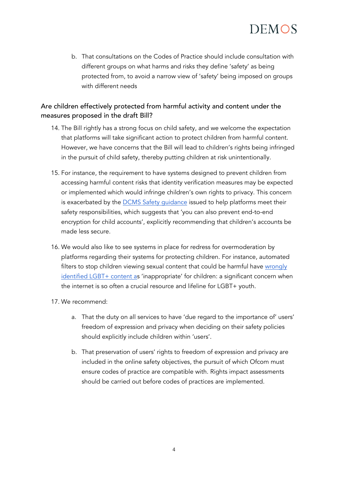b. That consultations on the Codes of Practice should include consultation with different groups on what harms and risks they define 'safety' as being protected from, to avoid a narrow view of 'safety' being imposed on groups with different needs

### Are children effectively protected from harmful activity and content under the measures proposed in the draft Bill?

- 14. The Bill rightly has a strong focus on child safety, and we welcome the expectation that platforms will take significant action to protect children from harmful content. However, we have concerns that the Bill will lead to children's rights being infringed in the pursuit of child safety, thereby putting children at risk unintentionally.
- 15. For instance, the requirement to have systems designed to prevent children from accessing harmful content risks that identity verification measures may be expected or implemented which would infringe children's own rights to privacy. This concern is exacerbated by the [DCMS Safety guidance](https://www.gov.uk/guidance/private-and-public-channels-improve-the-safety-of-your-online-platform) issued to help platforms meet their safety responsibilities, which suggests that 'you can also prevent end-to-end encryption for child accounts', explicitly recommending that children's accounts be made less secure.
- 16. We would also like to see systems in place for redress for overmoderation by platforms regarding their systems for protecting children. For instance, automated filters to stop children viewing sexual content that could be harmful have wrongly [identified LGBT+ content as](https://www.theguardian.com/music/2017/mar/21/youtube-changes-restrictions-gay-lgbtq-themed-content-tegan-sarah) 'inappropriate' for children: a significant concern when the internet is so often a crucial resource and lifeline for LGBT+ youth.
- 17. We recommend:
	- a. That the duty on all services to have 'due regard to the importance of' users' freedom of expression and privacy when deciding on their safety policies should explicitly include children within 'users'.
	- b. That preservation of users' rights to freedom of expression and privacy are included in the online safety objectives, the pursuit of which Ofcom must ensure codes of practice are compatible with. Rights impact assessments should be carried out before codes of practices are implemented.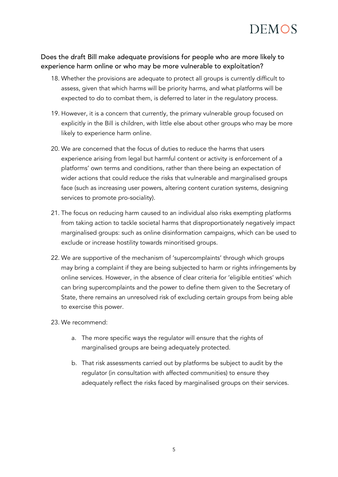

#### Does the draft Bill make adequate provisions for people who are more likely to experience harm online or who may be more vulnerable to exploitation?

- 18. Whether the provisions are adequate to protect all groups is currently difficult to assess, given that which harms will be priority harms, and what platforms will be expected to do to combat them, is deferred to later in the regulatory process.
- 19. However, it is a concern that currently, the primary vulnerable group focused on explicitly in the Bill is children, with little else about other groups who may be more likely to experience harm online.
- 20. We are concerned that the focus of duties to reduce the harms that users experience arising from legal but harmful content or activity is enforcement of a platforms' own terms and conditions, rather than there being an expectation of wider actions that could reduce the risks that vulnerable and marginalised groups face (such as increasing user powers, altering content curation systems, designing services to promote pro-sociality).
- 21. The focus on reducing harm caused to an individual also risks exempting platforms from taking action to tackle societal harms that disproportionately negatively impact marginalised groups: such as online disinformation campaigns, which can be used to exclude or increase hostility towards minoritised groups.
- 22. We are supportive of the mechanism of 'supercomplaints' through which groups may bring a complaint if they are being subjected to harm or rights infringements by online services. However, in the absence of clear criteria for 'eligible entities' which can bring supercomplaints and the power to define them given to the Secretary of State, there remains an unresolved risk of excluding certain groups from being able to exercise this power.
- 23. We recommend:
	- a. The more specific ways the regulator will ensure that the rights of marginalised groups are being adequately protected.
	- b. That risk assessments carried out by platforms be subject to audit by the regulator (in consultation with affected communities) to ensure they adequately reflect the risks faced by marginalised groups on their services.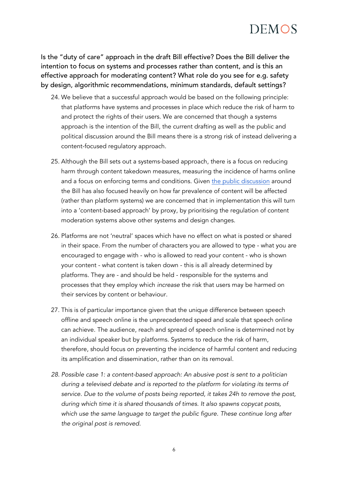

Is the "duty of care" approach in the draft Bill effective? Does the Bill deliver the intention to focus on systems and processes rather than content, and is this an effective approach for moderating content? What role do you see for e.g. safety by design, algorithmic recommendations, minimum standards, default settings?

- 24. We believe that a successful approach would be based on the following principle: that platforms have systems and processes in place which reduce the risk of harm to and protect the rights of their users. We are concerned that though a systems approach is the intention of the Bill, the current drafting as well as the public and political discussion around the Bill means there is a strong risk of instead delivering a content-focused regulatory approach.
- 25. Although the Bill sets out a systems-based approach, there is a focus on reducing harm through content takedown measures, measuring the incidence of harms online and a focus on enforcing terms and conditions. Given [the public discussion](https://www.gov.uk/government/speeches/oliver-dowdens-opinion-piece-for-the-telegraph-on-the-online-safety-bill) around the Bill has also focused heavily on how far prevalence of content will be affected (rather than platform systems) we are concerned that in implementation this will turn into a 'content-based approach' by proxy, by prioritising the regulation of content moderation systems above other systems and design changes.
- 26. Platforms are not 'neutral' spaces which have no effect on what is posted or shared in their space. From the number of characters you are allowed to type - what you are encouraged to engage with - who is allowed to read your content - who is shown your content - what content is taken down - this is all already determined by platforms. They are - and should be held - responsible for the systems and processes that they employ which *increase* the risk that users may be harmed on their services by content or behaviour.
- 27. This is of particular importance given that the unique difference between speech offline and speech online is the unprecedented speed and scale that speech online can achieve. The audience, reach and spread of speech online is determined not by an individual speaker but by platforms. Systems to reduce the risk of harm, therefore, should focus on preventing the incidence of harmful content and reducing its amplification and dissemination, rather than on its removal.
- *28. Possible case 1: a content-based approach: An abusive post is sent to a politician during a televised debate and is reported to the platform for violating its terms of service. Due to the volume of posts being reported, it takes 24h to remove the post, during which time it is shared thousands of times. It also spawns copycat posts, which use the same language to target the public figure. These continue long after the original post is removed.*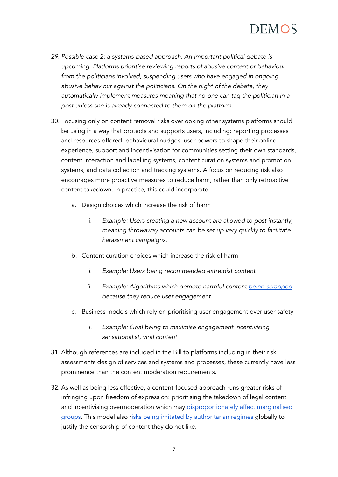- *29. Possible case 2: a systems-based approach: An important political debate is upcoming. Platforms prioritise reviewing reports of abusive content or behaviour*  from the politicians involved, suspending users who have engaged in ongoing *abusive behaviour against the politicians. On the night of the debate, they automatically implement measures meaning that no-one can tag the politician in a post unless she is already connected to them on the platform.*
- 30. Focusing only on content removal risks overlooking other systems platforms should be using in a way that protects and supports users, including: reporting processes and resources offered, behavioural nudges, user powers to shape their online experience, support and incentivisation for communities setting their own standards, content interaction and labelling systems, content curation systems and promotion systems, and data collection and tracking systems. A focus on reducing risk also encourages more proactive measures to reduce harm, rather than only retroactive content takedown. In practice, this could incorporate:
	- a. Design choices which increase the risk of harm
		- i. *Example: Users creating a new account are allowed to post instantly, meaning throwaway accounts can be set up very quickly to facilitate harassment campaigns.*
	- b. Content curation choices which increase the risk of harm
		- *i. Example: Users being recommended extremist content*
		- *ii. Example: Algorithms which demote harmful content [being scrapped](https://www.nytimes.com/2020/11/24/technology/facebook-election-misinformation.html) because they reduce user engagement*
	- c. Business models which rely on prioritising user engagement over user safety
		- *i. Example: Goal being to maximise engagement incentivising sensationalist, viral content*
- 31. Although references are included in the Bill to platforms including in their risk assessments design of services and systems and processes, these currently have less prominence than the content moderation requirements.
- 32. As well as being less effective, a content-focused approach runs greater risks of infringing upon freedom of expression: prioritising the takedown of legal content and incentivising overmoderation which may [disproportionately affect marginalised](https://inews.co.uk/news/online-safety-bill-would-give-legal-basis-for-censorship-of-lgbt-people-stephen-fry-and-campaigners-warn-1178176)  [groups.](https://inews.co.uk/news/online-safety-bill-would-give-legal-basis-for-censorship-of-lgbt-people-stephen-fry-and-campaigners-warn-1178176) This model also [risks being imitated by authoritarian regimes g](https://news.trust.org/item/20210916100925-8syij/)lobally to justify the censorship of content they do not like.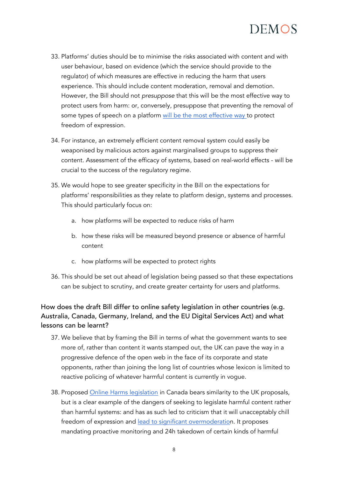

- 33. Platforms' duties should be to minimise the risks associated with content and with user behaviour, based on evidence (which the service should provide to the regulator) of which measures are effective in reducing the harm that users experience. This should include content moderation, removal and demotion. However, the Bill should not *presuppose* that this will be the most effective way to protect users from harm: or, conversely, presuppose that preventing the removal of some types of speech on a platform [will be the most effective way t](https://www.hopenothate.org.uk/wp-content/uploads/2021/08/Free-Speech-For-All-2021-08-FINAL.pdf)o protect freedom of expression.
- 34. For instance, an extremely efficient content removal system could easily be weaponised by malicious actors against marginalised groups to suppress their content. Assessment of the efficacy of systems, based on real-world effects - will be crucial to the success of the regulatory regime.
- 35. We would hope to see greater specificity in the Bill on the expectations for platforms' responsibilities as they relate to platform design, systems and processes. This should particularly focus on:
	- a. how platforms will be expected to reduce risks of harm
	- b. how these risks will be measured beyond presence or absence of harmful content
	- c. how platforms will be expected to protect rights
- 36. This should be set out ahead of legislation being passed so that these expectations can be subject to scrutiny, and create greater certainty for users and platforms.

### How does the draft Bill differ to online safety legislation in other countries (e.g. Australia, Canada, Germany, Ireland, and the EU Digital Services Act) and what lessons can be learnt?

- 37. We believe that by framing the Bill in terms of what the government wants to see more of, rather than content it wants stamped out, the UK can pave the way in a progressive defence of the open web in the face of its corporate and state opponents, rather than joining the long list of countries whose lexicon is limited to reactive policing of whatever harmful content is currently in vogue.
- 38. Proposed [Online Harms legislation](https://www.canada.ca/en/canadian-heritage/campaigns/harmful-online-content/technical-paper.html#a2) in Canada bears similarity to the UK proposals, but is a clear example of the dangers of seeking to legislate harmful content rather than harmful systems: and has as such led to criticism that it will unacceptably chill freedom of expression and [lead to significant overmoderation](https://www.michaelgeist.ca/2021/07/onlineharmsnonconsult/). It proposes mandating proactive monitoring and 24h takedown of certain kinds of harmful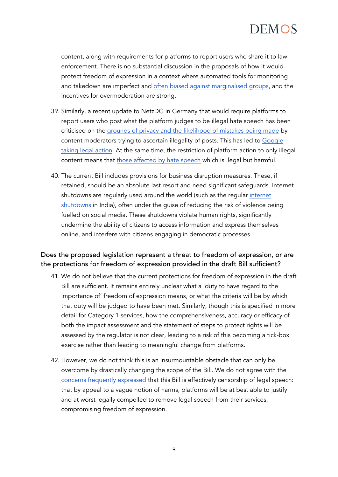content, along with requirements for platforms to report users who share it to law enforcement. There is no substantial discussion in the proposals of how it would protect freedom of expression in a context where automated tools for monitoring and takedown are imperfect and [often biased against marginalised groups,](https://twitter.com/daphnehk/status/1421120217585831938) and the incentives for overmoderation are strong.

- 39. Similarly, a recent update to NetzDG in Germany that would require platforms to report users who post what the platform judges to be illegal hate speech has been criticised on the [grounds of privacy and the likelihood of mistakes being made](https://www.politico.eu/article/germany-hate-speech-internet-netzdg-controversial-legislation/) by content moderators trying to ascertain illegality of posts. This has led to [Google](https://www.reuters.com/technology/google-takes-legal-action-over-germanys-expanded-hate-speech-law-2021-07-27/)  [taking legal action.](https://www.reuters.com/technology/google-takes-legal-action-over-germanys-expanded-hate-speech-law-2021-07-27/) At the same time, the restriction of platform action to only illegal content means that [those affected by hate speech](https://www.politico.eu/article/germany-hate-speech-internet-netzdg-controversial-legislation/) which is legal but harmful.
- 40. The current Bill includes provisions for business disruption measures. These, if retained, should be an absolute last resort and need significant safeguards. Internet shutdowns are regularly used around the world (such as the regular internet [shutdowns](https://www.bbc.co.uk/news/world-asia-india-40298722) in India), often under the guise of reducing the risk of violence being fuelled on social media. These shutdowns violate human rights, significantly undermine the ability of citizens to access information and express themselves online, and interfere with citizens engaging in democratic processes.

### Does the proposed legislation represent a threat to freedom of expression, or are the protections for freedom of expression provided in the draft Bill sufficient?

- 41. We do not believe that the current protections for freedom of expression in the draft Bill are sufficient. It remains entirely unclear what a 'duty to have regard to the importance of' freedom of expression means, or what the criteria will be by which that duty will be judged to have been met. Similarly, though this is specified in more detail for Category 1 services, how the comprehensiveness, accuracy or efficacy of both the impact assessment and the statement of steps to protect rights will be assessed by the regulator is not clear, leading to a risk of this becoming a tick-box exercise rather than leading to meaningful change from platforms.
- 42. However, we do not think this is an insurmountable obstacle that can only be overcome by drastically changing the scope of the Bill. We do not agree with the [concerns frequently expressed](https://www.openrightsgroup.org/blog/duty-to-censor-whats-legal-to-say-should-be-legal-to-type/) that this Bill is effectively censorship of legal speech: that by appeal to a vague notion of harms, platforms will be at best able to justify and at worst legally compelled to remove legal speech from their services, compromising freedom of expression.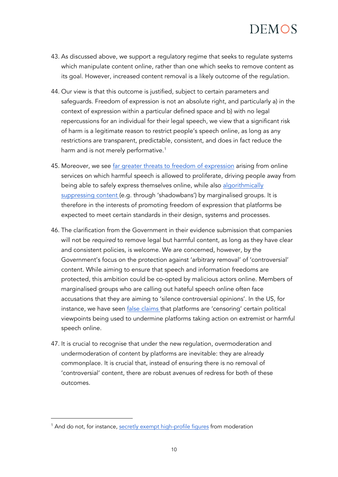- 43. As discussed above, we support a regulatory regime that seeks to regulate systems which manipulate content online, rather than one which seeks to remove content as its goal. However, increased content removal is a likely outcome of the regulation.
- 44. Our view is that this outcome is justified, subject to certain parameters and safeguards. Freedom of expression is not an absolute right, and particularly a) in the context of expression within a particular defined space and b) with no legal repercussions for an individual for their legal speech, we view that a significant risk of harm is a legitimate reason to restrict people's speech online, as long as any restrictions are transparent, predictable, consistent, and does in fact reduce the harm and is not merely performative.<sup>[1](#page-9-0)</sup>
- 45. Moreover, we see [far greater threats to freedom of expression](https://www.hopenothate.org.uk/2021/09/03/new-report-free-speech-for-all-why-legal-but-harmful-content-should-continue-to-be-included-in-the-online-safety-bill/) arising from online services on which harmful speech is allowed to proliferate, driving people away from being able to safely express themselves online, while also algorithmically [suppressing content \(](https://time.com/5863350/tiktok-black-creators/)e.g. through 'shadowbans') by marginalised groups. It is therefore in the interests of promoting freedom of expression that platforms be expected to meet certain standards in their design, systems and processes.
- 46. The clarification from the Government in their evidence submission that companies will not be *required* to remove legal but harmful content, as long as they have clear and consistent policies, is welcome. We are concerned, however, by the Government's focus on the protection against 'arbitrary removal' of 'controversial' content. While aiming to ensure that speech and information freedoms are protected, this ambition could be co-opted by malicious actors online. Members of marginalised groups who are calling out hateful speech online often face accusations that they are aiming to 'silence controversial opinions'. In the US, for instance, we have seen [false claims t](https://www.nbcnews.com/think/opinion/facebook-twitter-don-t-censor-conservatives-they-hire-promote-them-ncna1245308)hat platforms are 'censoring' certain political viewpoints being used to undermine platforms taking action on extremist or harmful speech online.
- 47. It is crucial to recognise that under the new regulation, overmoderation and undermoderation of content by platforms are inevitable: they are already commonplace. It is crucial that, instead of ensuring there is no removal of 'controversial' content, there are robust avenues of redress for both of these outcomes.

<span id="page-9-0"></span><sup>&</sup>lt;sup>1</sup> And do not, for instance, [secretly exempt high-profile figures](https://www.wsj.com/articles/facebook-files-xcheck-zuckerberg-elite-rules-11631541353) from moderation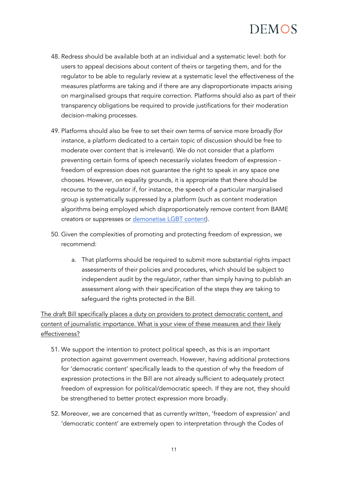- 48. Redress should be available both at an individual and a systematic level: both for users to appeal decisions about content of theirs or targeting them, and for the regulator to be able to regularly review at a systematic level the effectiveness of the measures platforms are taking and if there are any disproportionate impacts arising on marginalised groups that require correction. Platforms should also as part of their transparency obligations be required to provide justifications for their moderation decision-making processes.
- 49. Platforms should also be free to set their own terms of service more broadly (for instance, a platform dedicated to a certain topic of discussion should be free to moderate over content that is irrelevant). We do not consider that a platform preventing certain forms of speech necessarily violates freedom of expression freedom of expression does not guarantee the right to speak in any space one chooses. However, on equality grounds, it is appropriate that there should be recourse to the regulator if, for instance, the speech of a particular marginalised group is systematically suppressed by a platform (such as content moderation algorithms being employed which disproportionately remove content from BAME creators or suppresses or [demonetise LGBT content\)](https://www.theverge.com/2018/6/4/17424472/youtube-lgbt-demonetization-ads-algorithm).
- 50. Given the complexities of promoting and protecting freedom of expression, we recommend:
	- a. That platforms should be required to submit more substantial rights impact assessments of their policies and procedures, which should be subject to independent audit by the regulator, rather than simply having to publish an assessment along with their specification of the steps they are taking to safeguard the rights protected in the Bill.

The draft Bill specifically places a duty on providers to protect democratic content, and content of journalistic importance. What is your view of these measures and their likely effectiveness?

- 51. We support the intention to protect political speech, as this is an important protection against government overreach. However, having additional protections for 'democratic content' specifically leads to the question of why the freedom of expression protections in the Bill are not already sufficient to adequately protect freedom of expression for political/democratic speech. If they are not, they should be strengthened to better protect expression more broadly.
- 52. Moreover, we are concerned that as currently written, 'freedom of expression' and 'democratic content' are extremely open to interpretation through the Codes of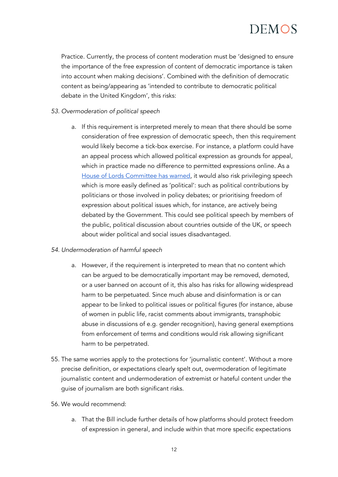Practice. Currently, the process of content moderation must be 'designed to ensure the importance of the free expression of content of democratic importance is taken into account when making decisions'. Combined with the definition of democratic content as being/appearing as 'intended to contribute to democratic political debate in the United Kingdom', this risks:

#### *53. Overmoderation of political speech*

a. If this requirement is interpreted merely to mean that there should be some consideration of free expression of democratic speech, then this requirement would likely become a tick-box exercise. For instance, a platform could have an appeal process which allowed political expression as grounds for appeal, which in practice made no difference to permitted expressions online. As [a](https://committees.parliament.uk/publications/6878/documents/72529/default/) [House of Lords Committee has warned,](https://committees.parliament.uk/publications/6878/documents/72529/default/) it would also risk privileging speech which is more easily defined as 'political': such as political contributions by politicians or those involved in policy debates; or prioritising freedom of expression about political issues which, for instance, are actively being debated by the Government. This could see political speech by members of the public, political discussion about countries outside of the UK, or speech about wider political and social issues disadvantaged.

#### *54. Undermoderation of harmful speech*

- a. However, if the requirement is interpreted to mean that no content which can be argued to be democratically important may be removed, demoted, or a user banned on account of it, this also has risks for allowing widespread harm to be perpetuated. Since much abuse and disinformation is or can appear to be linked to political issues or political figures (for instance, abuse of women in public life, racist comments about immigrants, transphobic abuse in discussions of e.g. gender recognition), having general exemptions from enforcement of terms and conditions would risk allowing significant harm to be perpetrated.
- 55. The same worries apply to the protections for 'journalistic content'. Without a more precise definition, or expectations clearly spelt out, overmoderation of legitimate journalistic content and undermoderation of extremist or hateful content under the guise of journalism are both significant risks.
- 56. We would recommend:
	- a. That the Bill include further details of how platforms should protect freedom of expression in general, and include within that more specific expectations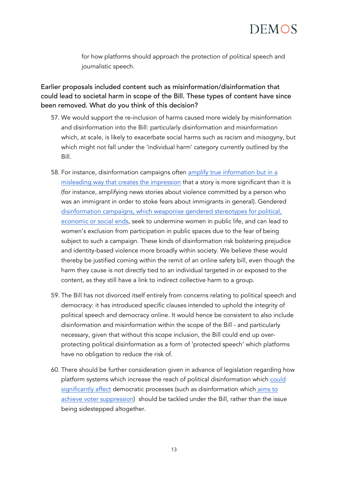for how platforms should approach the protection of political speech and journalistic speech.

Earlier proposals included content such as misinformation/disinformation that could lead to societal harm in scope of the Bill. These types of content have since been removed. What do you think of this decision?

- 57. We would support the re-inclusion of harms caused more widely by misinformation and disinformation into the Bill: particularly disinformation and misinformation which, at scale, is likely to exacerbate social harms such as racism and misogyny, but which might not fall under the 'individual harm' category currently outlined by the Bill.
- 58. For instance, disinformation campaigns often [amplify true information but in a](https://demos.co.uk/wp-content/uploads/2019/05/Warring-Songs-final-1.pdf)  [misleading way that creates the impression](https://demos.co.uk/wp-content/uploads/2019/05/Warring-Songs-final-1.pdf) that a story is more significant than it is (for instance, amplifying news stories about violence committed by a person who was an immigrant in order to stoke fears about immigrants in general). Gendered [disinformation campaigns, which weaponise gendered stereotypes for political,](https://eu.boell.org/en/2021/07/09/gendered-disinformation-6-reasons-why-liberal-democracies-need-respond-threat)  [economic or social ends,](https://eu.boell.org/en/2021/07/09/gendered-disinformation-6-reasons-why-liberal-democracies-need-respond-threat) seek to undermine women in public life, and can lead to women's exclusion from participation in public spaces due to the fear of being subject to such a campaign. These kinds of disinformation risk bolstering prejudice and identity-based violence more broadly within society. We believe these would thereby be justified coming within the remit of an online safety bill, even though the harm they cause is not directly tied to an individual targeted in or exposed to the content, as they still have a link to indirect collective harm to a group.
- 59. The Bill has not divorced itself entirely from concerns relating to political speech and democracy: it has introduced specific clauses intended to uphold the integrity of political speech and democracy online. It would hence be consistent to also include disinformation and misinformation within the scope of the Bill - and particularly necessary, given that without this scope inclusion, the Bill could end up overprotecting political disinformation as a form of 'protected speech' which platforms have no obligation to reduce the risk of.
- 60. There should be further consideration given in advance of legislation regarding how platform systems which increase the reach of political disinformation which [could](https://www.wired.com/2016/11/ignore-trolls-definitely-cannot-vote-via-text/)  [significantly affect](https://www.wired.com/2016/11/ignore-trolls-definitely-cannot-vote-via-text/) democratic processes (such as disinformation which [aims to](https://www.npr.org/2020/10/30/929248146/black-and-latino-voters-flooded-with-disinformation-in-elections-final-days)  [achieve voter suppression\)](https://www.npr.org/2020/10/30/929248146/black-and-latino-voters-flooded-with-disinformation-in-elections-final-days) should be tackled under the Bill, rather than the issue being sidestepped altogether.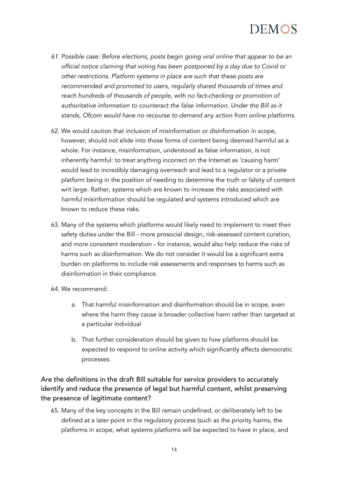- *61. Possible case: Before elections, posts begin going viral online that appear to be an official notice claiming that voting has been postponed by a day due to Covid or other restrictions. Platform systems in place are such that these posts are recommended and promoted to users, regularly shared thousands of times and reach hundreds of thousands of people, with no fact-checking or promotion of authoritative information to counteract the false information. Under the Bill as it stands, Ofcom would have no recourse to demand any action from online platforms.*
- 62. We would caution that inclusion of misinformation or disinformation in scope, however, should not elide into those forms of content being deemed harmful as a whole. For instance, misinformation, understood as false information, is not inherently harmful: to treat anything incorrect on the Internet as 'causing harm' would lead to incredibly damaging overreach and lead to a regulator or a private platform being in the position of needing to determine the truth or falsity of content writ large. Rather, systems which are known to increase the risks associated with *harmful* misinformation should be regulated and systems introduced which are known to reduce these risks.
- 63. Many of the systems which platforms would likely need to implement to meet their safety duties under the Bill - more prosocial design, risk-assessed content curation, and more consistent moderation - for instance, would also help reduce the risks of harms such as disinformation. We do not consider it would be a significant extra burden on platforms to include risk assessments and responses to harms such as disinformation in their compliance.
- 64. We recommend:
	- a. That harmful misinformation and disinformation should be in scope, even where the harm they cause is broader collective harm rather than targeted at a particular individual
	- b. That further consideration should be given to how platforms should be expected to respond to online activity which significantly affects democratic processes.

### Are the definitions in the draft Bill suitable for service providers to accurately identify and reduce the presence of legal but harmful content, whilst preserving the presence of legitimate content?

65. Many of the key concepts in the Bill remain undefined, or deliberately left to be defined at a later point in the regulatory process (such as the priority harms, the platforms in scope, what systems platforms will be expected to have in place, and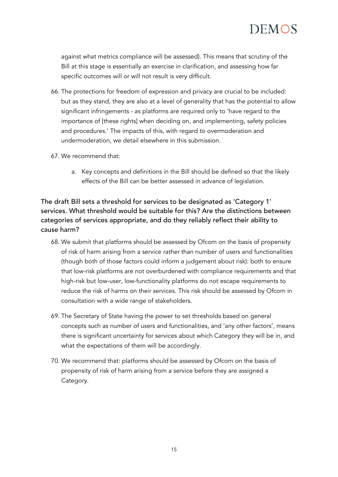

against what metrics compliance will be assessed). This means that scrutiny of the Bill at this stage is essentially an exercise in clarification, and assessing how far specific outcomes will or will not result is very difficult.

- 66. The protections for freedom of expression and privacy are crucial to be included: but as they stand, they are also at a level of generality that has the potential to allow significant infringements - as platforms are required only to 'have regard to the importance of [these rights] when deciding on, and implementing, safety policies and procedures.' The impacts of this, with regard to overmoderation and undermoderation, we detail elsewhere in this submission.
- 67. We recommend that:
	- a. Key concepts and definitions in the Bill should be defined so that the likely effects of the Bill can be better assessed in advance of legislation.

The draft Bill sets a threshold for services to be designated as 'Category 1' services. What threshold would be suitable for this? Are the distinctions between categories of services appropriate, and do they reliably reflect their ability to cause harm?

- 68. We submit that platforms should be assessed by Ofcom on the basis of propensity of risk of harm arising from a service *rather* than number of users and functionalities (though both of those factors could inform a judgement about risk): both to ensure that low-risk platforms are not overburdened with compliance requirements and that high-risk but low-user, low-functionality platforms do not escape requirements to reduce the risk of harms on their services. This risk should be assessed by Ofcom in consultation with a wide range of stakeholders.
- 69. The Secretary of State having the power to set thresholds based on general concepts such as number of users and functionalities, and 'any other factors', means there is significant uncertainty for services about which Category they will be in, and what the expectations of them will be accordingly.
- 70. We recommend that: platforms should be assessed by Ofcom on the basis of propensity of risk of harm arising from a service before they are assigned a Category.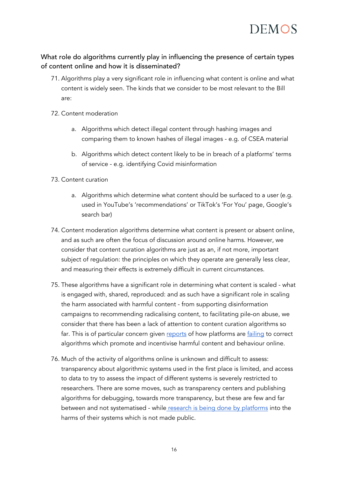

#### What role do algorithms currently play in influencing the presence of certain types of content online and how it is disseminated?

- 71. Algorithms play a very significant role in influencing what content is online and what content is widely seen. The kinds that we consider to be most relevant to the Bill are:
- 72. Content moderation
	- a. Algorithms which detect illegal content through hashing images and comparing them to known hashes of illegal images - e.g. of CSEA material
	- b. Algorithms which detect content likely to be in breach of a platforms' terms of service - e.g. identifying Covid misinformation
- 73. Content curation
	- a. Algorithms which determine what content should be surfaced to a user (e.g. used in YouTube's 'recommendations' or TikTok's 'For You' page, Google's search bar)
- 74. Content moderation algorithms determine what content is present or absent online, and as such are often the focus of discussion around online harms. However, we consider that content curation algorithms are just as an, if not more, important subject of regulation: the principles on which they operate are generally less clear, and measuring their effects is extremely difficult in current circumstances.
- 75. These algorithms have a significant role in determining what content is scaled what is engaged with, shared, reproduced: and as such have a significant role in scaling the harm associated with harmful content - from supporting disinformation campaigns to recommending radicalising content, to facilitating pile-on abuse, we consider that there has been a lack of attention to content curation algorithms so far. This is of particular concern given [reports](https://www.wsj.com/articles/facebook-algorithm-change-zuckerberg-11631654215) of how platforms are [failing](https://www.nytimes.com/2020/11/24/technology/facebook-election-misinformation.html) to correct algorithms which promote and incentivise harmful content and behaviour online.
- 76. Much of the activity of algorithms online is unknown and difficult to assess: transparency about algorithmic systems used in the first place is limited, and access to data to try to assess the impact of different systems is severely restricted to researchers. There are some moves, such as transparency centers and publishing algorithms for debugging, towards more transparency, but these are few and far between and not systematised - while research is [being done by platforms](https://www.theguardian.com/technology/2021/sep/14/facebook-aware-instagram-harmful-effect-teenage-girls-leak-reveals) into the harms of their systems which is not made public.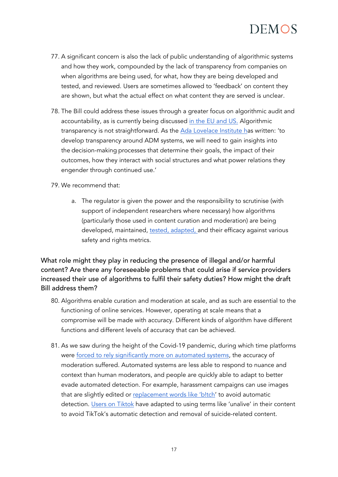

- 77. A significant concern is also the lack of public understanding of algorithmic systems and how they work, compounded by the lack of transparency from companies on when algorithms are being used, for what, how they are being developed and tested, and reviewed. Users are sometimes allowed to 'feedback' on content they are shown, but what the actual effect on what content they are served is unclear.
- 78. The Bill could address these issues through a greater focus on algorithmic audit and accountability, as is currently being discussed [in the EU and US.](https://eu.boell.org/en/2021/09/14/gendered-disinformation-us-cant-be-content-content-solutions) Algorithmic transparency is not straightforward. As the [Ada Lovelace Institute ha](https://www.adalovelaceinstitute.org/blog/meaningful-transparency-and-invisible-algorithms/)s written: 'to develop transparency around ADM systems, we will need to gain insights into the decision-making processes that determine their goals, the impact of their outcomes, how they interact with social structures and what power relations they engender through continued use.'
- 79. We recommend that:
	- a. The regulator is given the power and the responsibility to scrutinise (with support of independent researchers where necessary) how algorithms (particularly those used in content curation and moderation) are being developed, maintained, [tested, adapted, a](https://www.wsj.com/articles/facebook-algorithm-change-zuckerberg-11631654215)nd their efficacy against various safety and rights metrics.

What role might they play in reducing the presence of illegal and/or harmful content? Are there any foreseeable problems that could arise if service providers increased their use of algorithms to fulfil their safety duties? How might the draft Bill address them?

- 80. Algorithms enable curation and moderation at scale, and as such are essential to the functioning of online services. However, operating at scale means that a compromise will be made with accuracy. Different kinds of algorithm have different functions and different levels of accuracy that can be achieved.
- 81. As we saw during the height of the Covid-19 pandemic, during which time platforms were [forced to rely significantly more on automated systems,](https://www.lawfareblog.com/covid-19-and-social-media-content-moderation) the accuracy of moderation suffered. Automated systems are less able to respond to nuance and context than human moderators, and people are quickly able to adapt to better evade automated detection. For example, harassment campaigns can use images that are slightly edited or [replacement words like 'b!tch'](https://www.wilsoncenter.org/publication/malign-creativity-how-gender-sex-and-lies-are-weaponized-against-women-online) to avoid automatic detection. [Users on Tiktok](https://www.thedailybeast.com/gen-z-wont-let-tiktok-stop-them-from-talking-about-suicide) have adapted to using terms like 'unalive' in their content to avoid TikTok's automatic detection and removal of suicide-related content.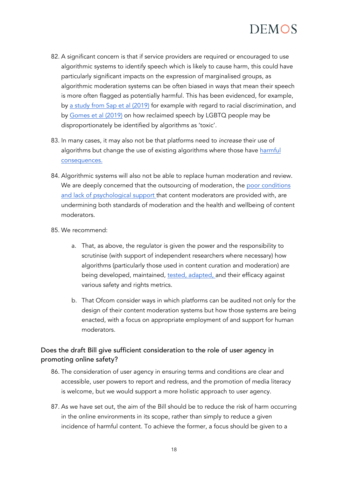

- 82. A significant concern is that if service providers are required or encouraged to use algorithmic systems to identify speech which is likely to cause harm, this could have particularly significant impacts on the expression of marginalised groups, as algorithmic moderation systems can be often biased in ways that mean their speech is more often flagged as potentially harmful. This has been evidenced, for example, by [a study from Sap et al \(2019\)](https://www.researchgate.net/publication/335784157_The_Risk_of_Racial_Bias_in_Hate_Speech_Detection) for example with regard to racial discrimination, and by [Gomes et al \(2019\)](https://www.internetlab.org.br/en/freedom-of-expression/drag-queens-and-artificial-intelligence-should-computers-decide-what-is-toxic-on-the-internet/) on how reclaimed speech by LGBTQ people may be disproportionately be identified by algorithms as 'toxic'.
- 83. In many cases, it may also not be that platforms need to *increase* their use of algorithms but change the use of existing algorithms where those have harmful [consequences.](https://www.nytimes.com/2020/11/24/technology/facebook-election-misinformation.html)
- 84. Algorithmic systems will also not be able to replace human moderation and review. We are deeply concerned that the outsourcing of moderation, the poor conditions [and lack of psychological support t](https://www.foxglove.org.uk/2020/11/18/open-letter-from-content-moderators-re-pandemic/)hat content moderators are provided with, are undermining both standards of moderation and the health and wellbeing of content moderators.
- 85. We recommend:
	- a. That, as above, the regulator is given the power and the responsibility to scrutinise (with support of independent researchers where necessary) how algorithms (particularly those used in content curation and moderation) are being developed, maintained, [tested, adapted, a](https://www.wsj.com/articles/facebook-algorithm-change-zuckerberg-11631654215)nd their efficacy against various safety and rights metrics.
	- b. That Ofcom consider ways in which platforms can be audited not only for the design of their content moderation systems but how those systems are being enacted, with a focus on appropriate employment of and support for human moderators.

### Does the draft Bill give sufficient consideration to the role of user agency in promoting online safety?

- 86. The consideration of user agency in ensuring terms and conditions are clear and accessible, user powers to report and redress, and the promotion of media literacy is welcome, but we would support a more holistic approach to user agency.
- 87. As we have set out, the aim of the Bill should be to reduce the risk of harm occurring in the online environments in its scope, rather than simply to reduce a given incidence of harmful content. To achieve the former, a focus should be given to a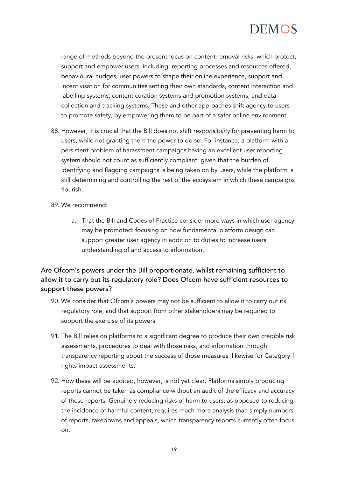range of methods beyond the present focus on content removal risks, which protect, support and empower users, including: reporting processes and resources offered, behavioural nudges, user powers to shape their online experience, support and incentivisation for communities setting their own standards, content interaction and labelling systems, content curation systems and promotion systems, and data collection and tracking systems. These and other approaches shift agency to users to promote safety, by empowering them to be part of a safer online environment.

- 88. However, it is crucial that the Bill does not shift *responsibility* for preventing harm to users, while not granting them the power to do so. For instance, a platform with a persistent problem of harassment campaigns having an excellent user reporting system should not count as sufficiently compliant: given that the burden of identifying and flagging campaigns is being taken on by users, while the platform is still determining and controlling the rest of the ecosystem in which these campaigns flourish.
- 89. We recommend:
	- a. That the Bill and Codes of Practice consider more ways in which user agency may be promoted: focusing on how fundamental platform design can support greater user agency in addition to duties to increase users' understanding of and access to information.

Are Ofcom's powers under the Bill proportionate, whilst remaining sufficient to allow it to carry out its regulatory role? Does Ofcom have sufficient resources to support these powers?

- 90. We consider that Ofcom's powers may not be sufficient to allow it to carry out its regulatory role, and that support from other stakeholders may be required to support the exercise of its powers.
- 91. The Bill relies on platforms to a significant degree to produce their own credible risk assessments, procedures to deal with those risks, and information through transparency reporting about the success of those measures: likewise for Category 1 rights impact assessments.
- 92. How these will be audited, however, is not yet clear. Platforms simply producing reports cannot be taken as compliance without an audit of the efficacy and accuracy of these reports. Genuinely reducing risks of harm to users, as opposed to reducing the incidence of harmful content, requires much more analysis than simply numbers of reports, takedowns and appeals, which transparency reports currently often focus on.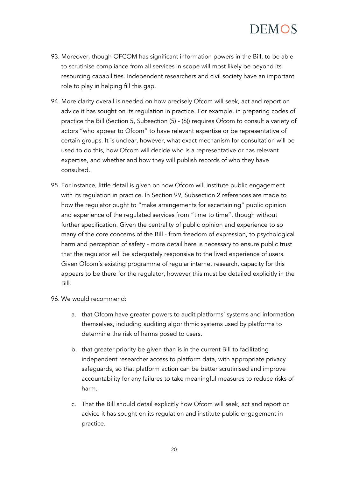- 93. Moreover, though OFCOM has significant information powers in the Bill, to be able to scrutinise compliance from all services in scope will most likely be beyond its resourcing capabilities. Independent researchers and civil society have an important role to play in helping fill this gap.
- 94. More clarity overall is needed on how precisely Ofcom will seek, act and report on advice it has sought on its regulation in practice. For example, in preparing codes of practice the Bill (Section 5, Subsection (5) - (6)) requires Ofcom to consult a variety of actors "who appear to Ofcom" to have relevant expertise or be representative of certain groups. It is unclear, however, what exact mechanism for consultation will be used to do this, how Ofcom will decide who is a representative or has relevant expertise, and whether and how they will publish records of who they have consulted.
- 95. For instance, little detail is given on how Ofcom will institute public engagement with its regulation in practice. In Section 99, Subsection 2 references are made to how the regulator ought to "make arrangements for ascertaining" public opinion and experience of the regulated services from "time to time", though without further specification. Given the centrality of public opinion and experience to so many of the core concerns of the Bill - from freedom of expression, to psychological harm and perception of safety - more detail here is necessary to ensure public trust that the regulator will be adequately responsive to the lived experience of users. Given Ofcom's existing programme of regular internet research, capacity for this appears to be there for the regulator, however this must be detailed explicitly in the Bill.

96. We would recommend:

- a. that Ofcom have greater powers to audit platforms' systems and information themselves, including auditing algorithmic systems used by platforms to determine the risk of harms posed to users.
- b. that greater priority be given than is in the current Bill to facilitating independent researcher access to platform data, with appropriate privacy safeguards, so that platform action can be better scrutinised and improve accountability for any failures to take meaningful measures to reduce risks of harm.
- c. That the Bill should detail explicitly how Ofcom will seek, act and report on advice it has sought on its regulation and institute public engagement in practice.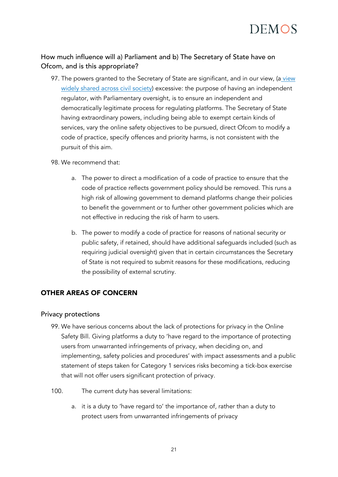

#### How much influence will a) Parliament and b) The Secretary of State have on Ofcom, and is this appropriate?

- 97. The powers granted to the Secretary of State are significant, and in our view, (a view [widely shared across civil society\)](https://www.carnegieuktrust.org.uk/blog-posts/secretary-of-states-powers-and-the-draft-online-safety-bill/) excessive: the purpose of having an independent regulator, with Parliamentary oversight, is to ensure an independent and democratically legitimate process for regulating platforms. The Secretary of State having extraordinary powers, including being able to exempt certain kinds of services, vary the online safety objectives to be pursued, direct Ofcom to modify a code of practice, specify offences and priority harms, is not consistent with the pursuit of this aim.
- 98. We recommend that:
	- a. The power to direct a modification of a code of practice to ensure that the code of practice reflects government policy should be removed. This runs a high risk of allowing government to demand platforms change their policies to benefit the government or to further other government policies which are not effective in reducing the risk of harm to users.
	- b. The power to modify a code of practice for reasons of national security or public safety, if retained, should have additional safeguards included (such as requiring judicial oversight) given that in certain circumstances the Secretary of State is not required to submit reasons for these modifications, reducing the possibility of external scrutiny.

#### OTHER AREAS OF CONCERN

#### Privacy protections

- 99. We have serious concerns about the lack of protections for privacy in the Online Safety Bill. Giving platforms a duty to 'have regard to the importance of protecting users from unwarranted infringements of privacy, when deciding on, and implementing, safety policies and procedures' with impact assessments and a public statement of steps taken for Category 1 services risks becoming a tick-box exercise that will not offer users significant protection of privacy.
- 100. The current duty has several limitations:
	- a. it is a duty to 'have regard to' the importance of, rather than a duty to protect users from unwarranted infringements of privacy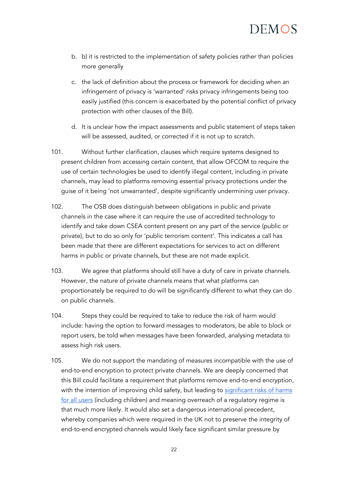- b. b) it is restricted to the implementation of safety policies rather than policies more generally
- c. the lack of definition about the process or framework for deciding when an infringement of privacy is 'warranted' risks privacy infringements being too easily justified (this concern is exacerbated by the potential conflict of privacy protection with other clauses of the Bill).
- d. It is unclear how the impact assessments and public statement of steps taken will be assessed, audited, or corrected if it is not up to scratch.
- 101. Without further clarification, clauses which require systems designed to present children from accessing certain content, that allow OFCOM to require the use of certain technologies be used to identify illegal content, including in private channels, may lead to platforms removing essential privacy protections under the guise of it being 'not unwarranted', despite significantly undermining user privacy.
- 102. The OSB does distinguish between obligations in public and private channels in the case where it can require the use of accredited technology to identify and take down CSEA content present on any part of the service (public or private), but to do so only for 'public terrorism content'. This indicates a call has been made that there are different expectations for services to act on different harms in public or private channels, but these are not made explicit.
- 103. We agree that platforms should still have a duty of care in private channels. However, the nature of private channels means that what platforms can proportionately be required to do will be significantly different to what they can do on public channels.
- 104. Steps they could be required to take to reduce the risk of harm would include: having the option to forward messages to moderators, be able to block or report users, be told when messages have been forwarded, analysing metadata to assess high risk users.
- 105. We do not support the mandating of measures incompatible with the use of end-to-end encryption to protect private channels. We are deeply concerned that this Bill could facilitate a requirement that platforms remove end-to-end encryption, with the intention of improving child safety, but leading to significant risks of harms [for all users](https://www.accessnow.org/cms/assets/uploads/2021/08/Encryption-Myths-Facts-Report.pdf) (including children) and meaning overreach of a regulatory regime is that much more likely. It would also set a dangerous international precedent, whereby companies which were required in the UK not to preserve the integrity of end-to-end encrypted channels would likely face significant similar pressure by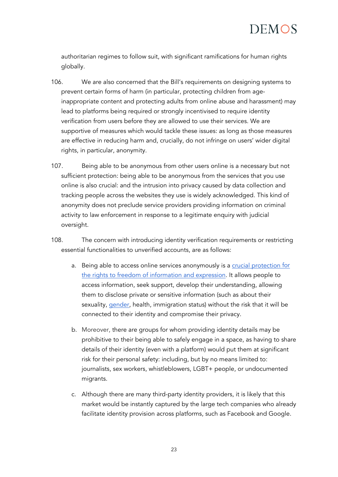

authoritarian regimes to follow suit, with significant ramifications for human rights globally.

- 106. We are also concerned that the Bill's requirements on designing systems to prevent certain forms of harm (in particular, protecting children from ageinappropriate content and protecting adults from online abuse and harassment) may lead to platforms being required or strongly incentivised to require identity verification from users before they are allowed to use their services. We are supportive of measures which would tackle these issues: as long as those measures are effective in reducing harm and, crucially, do not infringe on users' wider digital rights, in particular, anonymity.
- 107. Being able to be anonymous from other users online is a necessary but not sufficient protection: being able to be anonymous from the services that you use online is also crucial: and the intrusion into privacy caused by data collection and tracking people across the websites they use is widely acknowledged. This kind of anonymity does not preclude service providers providing information on criminal activity to law enforcement in response to a legitimate enquiry with judicial oversight.
- 108. The concern with introducing identity verification requirements or restricting essential functionalities to unverified accounts, are as follows:
	- a. Being able to access online services anonymously is a [crucial protection](https://www.vice.com/en/article/vvb8zx/united-nations-encryption-and-online-anonymity-are-basic-human-rights) for the rights to [freedom of information and expression.](https://www.vice.com/en/article/vvb8zx/united-nations-encryption-and-online-anonymity-are-basic-human-rights) It allows people to access information, seek support, develop their understanding, allowing them to disclose private or sensitive information (such as about their sexuality, [gender,](https://www.vox.com/culture/21432987/trans-twitter-reddit-online-anonymity) health, immigration status) without the risk that it will be connected to their identity and compromise their privacy.
	- b. Moreover, there are groups for whom providing identity details may be prohibitive to their being able to safely engage in a space, as having to share details of their identity (even with a platform) would put them at significant risk for their personal safety: including, but by no means limited to: journalists, sex workers, whistleblowers, LGBT+ people, or undocumented migrants.
	- c. Although there are many third-party identity providers, it is likely that this market would be instantly captured by the large tech companies who already facilitate identity provision across platforms, such as Facebook and Google.